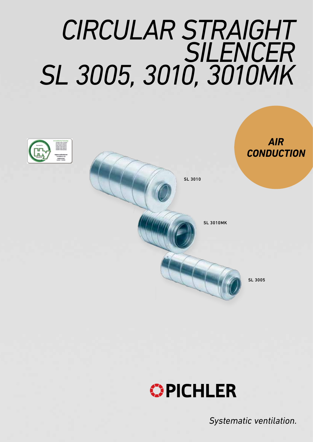# *CIRCULAR STRAIGHT SILENCER SL 3005, 3010, 3010MK*





*Systematic ventilation.*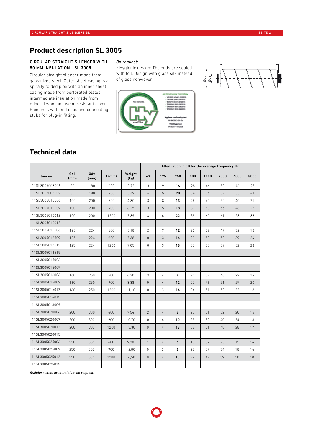## **Product description SL 3005**

#### CIRCULAR STRAIGHT SILENCER WITH 50 MM INSULATION - SL 3005

Circular straight silencer made from galvanized steel. Outer sheet casing is a spirally folded pipe with an inner sheet casing made from perforated plates, intermediate insulation made from mineral wool and wear-resistant cover. Pipe ends with end caps and connecting stubs for plug-in fitting.

#### *On request:*

• Hygienic design: The ends are sealed with foil. Design with glass silk instead of glass nonwoven.





## **Technical data**

|                |             |             |          |                |                | Attenuation in dB for the average frequency Hz |                  |     |      |          |      |      |  |
|----------------|-------------|-------------|----------|----------------|----------------|------------------------------------------------|------------------|-----|------|----------|------|------|--|
| Item no.       | Ød1<br>(mm) | Ødy<br>(mm) | $l$ (mm) | Weight<br>(kg) | 63             | 125                                            | 250              | 500 | 1000 | 2000     | 4000 | 8000 |  |
| 11SL3005008006 | 80          | 180         | 600      | 3,73           | 3              | 9                                              | 16               | 28  | 46   | 53       | 46   | 25   |  |
| 11SL3005008009 | 80          | 180         | 900      | 5,49           | 4              | 5                                              | 20               | 36  | 56   | 57       | 58   | 41   |  |
| 11SL3005010006 | 100         | 200         | 600      | 4,80           | 3              | 8                                              | 13               | 25  | 40   | 50       | 40   | 21   |  |
| 11SL3005010009 | 100         | 200         | 900      | 6,25           | 3              | 5                                              | 18               | 33  | 53   | 55       | 48   | 28   |  |
| 11SL3005010012 | 100         | 200         | 1200     | 7,89           | 3              | 6                                              | 22               | 39  | 60   | 61       | 53   | 33   |  |
| 11SL3005010015 |             |             |          |                |                |                                                |                  |     |      |          |      |      |  |
| 11SL3005012506 | 125         | 224         | 600      | 5,18           | $\overline{2}$ | $\overline{7}$                                 | 12               | 23  | 39   | 47       | 32   | 18   |  |
| 11SL3005012509 | 125         | 224         | 900      | 7,38           | $\mathbb O$    | 3                                              | 16               | 29  | 53   | 52       | 39   | 24   |  |
| 11SL3005012512 | 125         | 224         | 1200     | 9,05           | 0              | 3                                              | 18               | 37  | 60   | 59       | 52   | 28   |  |
| 11SL3005012515 |             |             |          |                |                |                                                |                  |     |      |          |      |      |  |
| 11SL3005015006 |             |             |          |                |                |                                                |                  |     |      |          |      |      |  |
| 11SL3005015009 |             |             |          |                |                |                                                |                  |     |      |          |      |      |  |
| 11SL3005016006 | 160         | 250         | 600      | 6,30           | 3              | 4                                              | 8                | 21  | 37   | $40^{1}$ | 22   | 14   |  |
| 11SL3005016009 | 160         | 250         | 900      | 8,88           | $\mathbb O$    | 4                                              | 12               | 27  | 46   | 51       | 29   | 20   |  |
| 11SL3005016012 | 160         | 250         | 1200     | 11,10          | 0              | 3                                              | 14               | 34  | 51   | 53       | 33   | 18   |  |
| 11SL3005016015 |             |             |          |                |                |                                                |                  |     |      |          |      |      |  |
| 11SL3005018009 |             |             |          |                |                |                                                |                  |     |      |          |      |      |  |
| 11SL3005020006 | 200         | 300         | 600      | 7,54           | $\overline{2}$ | 4                                              | 8                | 20  | 31   | 32       | 20   | 15   |  |
| 11SL3005020009 | 200         | 300         | 900      | 10,70          | $\mathbf{0}$   | 4                                              | 10               | 25  | 32   | 40       | 24   | 18   |  |
| 11SL3005020012 | 200         | 300         | 1200     | 13,30          | $\theta$       | 4                                              | 13               | 32  | 51   | 48       | 28   | 17   |  |
| 11SL3005020015 |             |             |          |                |                |                                                |                  |     |      |          |      |      |  |
| 11SL3005025006 | 250         | 355         | 600      | 9,30           | $\mathbf{1}$   | $\overline{2}$                                 | $\boldsymbol{6}$ | 15  | 37   | 25       | 15   | 14   |  |
| 11SL3005025009 | 250         | 355         | 900      | 12,80          | $\mathbf{0}$   | $\overline{2}$                                 | 8                | 22  | 37   | 34       | 18   | 16   |  |
| 11SL3005025012 | 250         | 355         | 1200     | 16,50          | $\mathbb O$    | $\overline{2}$                                 | 10               | 27  | 42   | 39       | 20   | 18   |  |
| 11SL3005025015 |             |             |          |                |                |                                                |                  |     |      |          |      |      |  |

*Stainless steel or aluminium on request.*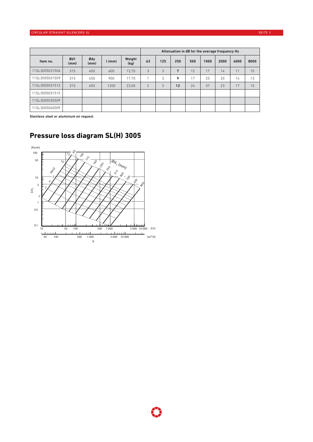|                |             |             |          |                | Attenuation in dB for the average frequency Hz |     |     |     |      |      |      |      |
|----------------|-------------|-------------|----------|----------------|------------------------------------------------|-----|-----|-----|------|------|------|------|
| Item no.       | Ød1<br>(mm) | Ødy<br>(mm) | $l$ (mm) | Weight<br>(kg) | 63                                             | 125 | 250 | 500 | 1000 | 2000 | 4000 | 8000 |
| 11SL3005031506 | 315         | 450         | 600      | 12.70          | 3                                              | 3   | 7   | 12  | 17   | 14   | 11   | 10   |
| 11SL3005031509 | 315         | 450         | 900      | 17.70          |                                                | 3   | 9   | 17  | 25   | 20   | 14   | 13   |
| 11SL3005031512 | 315         | 450         | 1200     | 23.00          | $\overline{2}$                                 | 3   | 12  | 24  | 37   | 23   | 17   | 15   |
| 11SL3005031515 |             |             |          |                |                                                |     |     |     |      |      |      |      |
| 11SL3005035509 |             |             |          |                |                                                |     |     |     |      |      |      |      |
| 11SL3005040009 |             |             |          |                |                                                |     |     |     |      |      |      |      |

*Stainless steel or aluminium on request.*



## **Pressure loss diagram SL(H) 3005**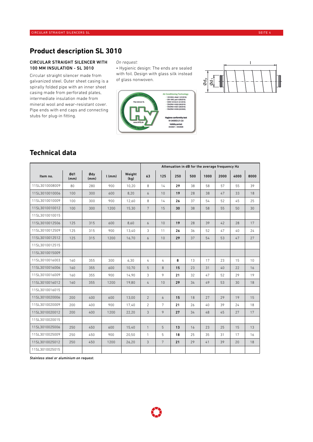## **Product description SL 3010**

#### CIRCULAR STRAIGHT SILENCER WITH 100 MM INSULATION - SL 3010

Circular straight silencer made from galvanized steel. Outer sheet casing is a spirally folded pipe with an inner sheet casing made from perforated plates, intermediate insulation made from mineral wool and wear-resistant cover. Pipe ends with end caps and connecting stubs for plug-in fitting.

#### *On request:*

• Hygienic design: The ends are sealed with foil. Design with glass silk instead of glass nonwoven.





### **Technical data**

|                |             |             |          |                |                 | Attenuation in dB for the average frequency Hz |     |     |      |      |      |      |  |
|----------------|-------------|-------------|----------|----------------|-----------------|------------------------------------------------|-----|-----|------|------|------|------|--|
| Item no.       | Ød1<br>(mm) | Ødy<br>(mm) | $l$ (mm) | Weight<br>(kg) | 63              | 125                                            | 250 | 500 | 1000 | 2000 | 4000 | 8000 |  |
| 11SL3010008009 | 80          | 280         | 900      | 10,20          | 8               | 14                                             | 29  | 38  | 58   | 57   | 55   | 39   |  |
| 11SL3010010006 | 100         | 300         | 600      | 8,20           | 6               | 10                                             | 19  | 28  | 38   | 47   | 33   | 18   |  |
| 11SL3010010009 | 100         | 300         | 900      | 12,60          | 8               | 14                                             | 26  | 37  | 54   | 52   | 45   | 25   |  |
| 11SL3010010012 | 100         | 300         | 1200     | 15,30          | $7\overline{ }$ | 15                                             | 30  | 38  | 58   | 55   | 50   | 30   |  |
| 11SL3010010015 |             |             |          |                |                 |                                                |     |     |      |      |      |      |  |
| 11SL3010012506 | 125         | 315         | 600      | 8.60           | 6               | 10                                             | 19  | 28  | 39   | 42   | 28   | 17   |  |
| 11SL3010012509 | 125         | 315         | 900      | 13,40          | 3               | 11                                             | 26  | 36  | 52   | 47   | 40   | 24   |  |
| 11SL3010012512 | 125         | 315         | 1200     | 16,70          | 6               | 10                                             | 29  | 37  | 54   | 53   | 47   | 27   |  |
| 11SL3010012515 |             |             |          |                |                 |                                                |     |     |      |      |      |      |  |
| 11SL3010015009 |             |             |          |                |                 |                                                |     |     |      |      |      |      |  |
| 11SL3010016003 | 160         | 355         | 300      | 6.30           | 4               | 4                                              | 8   | 13  | 17   | 23   | 15   | 10   |  |
| 11SL3010016006 | 160         | 355         | 600      | 10,70          | 5               | 8                                              | 15  | 23  | 31   | 40   | 22   | 16   |  |
| 11SL3010016009 | 160         | 355         | 900      | 14,90          | 3               | 9                                              | 21  | 32  | 47   | 52   | 29   | 19   |  |
| 11SL3010016012 | 160         | 355         | 1200     | 19,80          | 4               | 10                                             | 29  | 34  | 49   | 53   | 30   | 18   |  |
| 11SL3010016015 |             |             |          |                |                 |                                                |     |     |      |      |      |      |  |
| 11SL3010020006 | 200         | 400         | 600      | 13,00          | 2               | 6                                              | 15  | 18  | 27   | 29   | 19   | 15   |  |
| 11SL3010020009 | 200         | 400         | 900      | 17.40          | 2               | $7\overline{ }$                                | 21  | 26  | 40   | 39   | 24   | 18   |  |
| 11SL3010020012 | 200         | 400         | 1200     | 22,20          | 3               | 9                                              | 27  | 34  | 48   | 45   | 27   | 17   |  |
| 11SL3010020015 |             |             |          |                |                 |                                                |     |     |      |      |      |      |  |
| 11SL3010025006 | 250         | 450         | 600      | 15,40          | $\mathbf{1}$    | 5                                              | 13  | 16  | 23   | 25   | 15   | 13   |  |
| 11SL3010025009 | 250         | 450         | 900      | 20,50          | $\mathbf{1}$    | 5                                              | 18  | 25  | 35   | 31   | 17   | 16   |  |
| 11SL3010025012 | 250         | 450         | 1200     | 26,20          | 3               | $7\overline{ }$                                | 21  | 29  | 41   | 39   | 20   | 18   |  |
| 11SL3010025015 |             |             |          |                |                 |                                                |     |     |      |      |      |      |  |

*Stainless steel or aluminium on request.*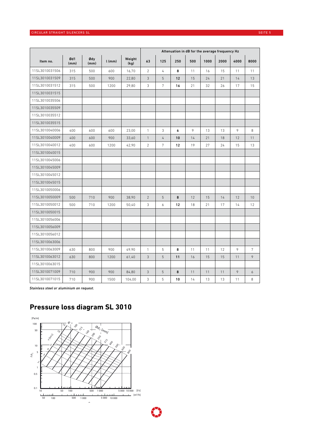#### CIRCULAR STRAIGHT SILENCERS SL SEITE 5 SEITE 5 SEITE SEITE SEITE SEITE SEITE SEITE SEITE SEITE SEITE SEITE SEI

|                |             |             |          |                | Attenuation in dB for the average frequency Hz |                 |     |     |      |      |      |                |
|----------------|-------------|-------------|----------|----------------|------------------------------------------------|-----------------|-----|-----|------|------|------|----------------|
| Item no.       | Ød1<br>(mm) | Ødy<br>(mm) | $l$ (mm) | Weight<br>(kg) | 63                                             | 125             | 250 | 500 | 1000 | 2000 | 4000 | 8000           |
| 11SL3010031506 | 315         | 500         | 600      | 16,70          | $\overline{2}$                                 | 4               | 8   | 11  | 16   | 15   | 11   | 11             |
| 11SL3010031509 | 315         | 500         | 900      | 22,80          | 3                                              | 5               | 12  | 15  | 24   | 21   | 14   | 13             |
| 11SL3010031512 | 315         | 500         | 1200     | 29,80          | 3                                              | $7\overline{ }$ | 16  | 21  | 32   | 26   | 17   | 15             |
| 11SL3010031515 |             |             |          |                |                                                |                 |     |     |      |      |      |                |
| 11SL3010035506 |             |             |          |                |                                                |                 |     |     |      |      |      |                |
| 11SL3010035509 |             |             |          |                |                                                |                 |     |     |      |      |      |                |
| 11SL3010035512 |             |             |          |                |                                                |                 |     |     |      |      |      |                |
| 11SL3010035515 |             |             |          |                |                                                |                 |     |     |      |      |      |                |
| 11SL3010040006 | 400         | 600         | 600      | 23.00          | $\mathbf{1}$                                   | 3               | 6   | 9   | 13   | 13   | 9    | 8              |
| 11SL3010040009 | 400         | 600         | 900      | 33,60          | $\mathbf{1}$                                   | 4               | 10  | 14  | 21   | 18   | 12   | 11             |
| 11SL3010040012 | 400         | 600         | 1200     | 42,90          | $\overline{c}$                                 | $\overline{7}$  | 12  | 19  | 27   | 24   | 15   | 13             |
| 11SL3010040015 |             |             |          |                |                                                |                 |     |     |      |      |      |                |
| 11SL3010045006 |             |             |          |                |                                                |                 |     |     |      |      |      |                |
| 11SL3010045009 |             |             |          |                |                                                |                 |     |     |      |      |      |                |
| 11SL3010045012 |             |             |          |                |                                                |                 |     |     |      |      |      |                |
| 11SL3010045015 |             |             |          |                |                                                |                 |     |     |      |      |      |                |
| 11SL3010050006 |             |             |          |                |                                                |                 |     |     |      |      |      |                |
| 11SL3010050009 | 500         | 710         | 900      | 38,90          | $\overline{2}$                                 | 5               | 8   | 12  | 15   | 14   | 12   | 10             |
| 11SL3010050012 | 500         | 710         | 1200     | 50,40          | 3                                              | 6               | 12  | 18  | 21   | 17   | 14   | 12             |
| 11SL3010050015 |             |             |          |                |                                                |                 |     |     |      |      |      |                |
| 11SL3010056006 |             |             |          |                |                                                |                 |     |     |      |      |      |                |
| 11SL3010056009 |             |             |          |                |                                                |                 |     |     |      |      |      |                |
| 11SL3010056012 |             |             |          |                |                                                |                 |     |     |      |      |      |                |
| 11SL3010063006 |             |             |          |                |                                                |                 |     |     |      |      |      |                |
| 11SL3010063009 | 630         | 800         | 900      | 49,90          | $\mathbf{1}$                                   | 5               | 8   | 11  | 11   | 12   | 9    | $\overline{7}$ |
| 11SL3010063012 | 630         | 800         | 1200     | 61,40          | 3                                              | 5               | 11  | 16  | 15   | 15   | 11   | 9              |
| 11SL3010063015 |             |             |          |                |                                                |                 |     |     |      |      |      |                |
| 11SL3010071009 | 710         | 900         | 900      | 84,80          | $\sqrt{3}$                                     | 5               | 8   | 11  | 11   | 11   | 9    | 6              |
| 11SL3010071015 | 710         | 900         | 1500     | 104,00         | 3                                              | 5               | 10  | 14  | 13   | 13   | 11   | 8              |

*Stainless steel or aluminium on request.*

## **Pressure loss diagram SL 3010**



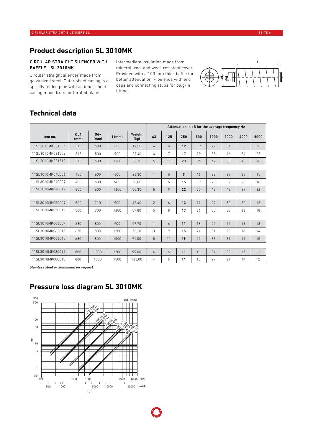## **Product description SL 3010MK**

#### CIRCULAR STRAIGHT SILENCER WITH BAFFLE - SL 3010MK

Circular straight silencer made from galvanized steel. Outer sheet casing is a spirally folded pipe with an inner sheet casing made from perforated plates,

intermediate insulation made from mineral wool and wear-resistant cover. Provided with a 100 mm thick baffle for better attenuation. Pipe ends with end caps and connecting stubs for plug-in fitting.



## **Technical data**

|                  |             |             |          |                | Attenuation in dB for the average frequency Hz |     |     |     |      |      |      |      |
|------------------|-------------|-------------|----------|----------------|------------------------------------------------|-----|-----|-----|------|------|------|------|
| Item no.         | Ød1<br>(mm) | Ødy<br>(mm) | $l$ (mm) | Weight<br>(kg) | 63                                             | 125 | 250 | 500 | 1000 | 2000 | 4000 | 8000 |
| 11SL3010MK031506 | 315         | 500         | 600      | 19,50          | 4                                              | 6   | 12  | 19  | 27   | 34   | 30   | 20   |
| 11SL3010MK031509 | 315         | 500         | 900      | 27.40          | 4                                              | 7   | 17  | 29  | 38   | 46   | 34   | 23   |
| 11SL3010MK031512 | 315         | 500         | 1200     | 36,10          | 5                                              | 11  | 23  | 36  | 47   | 58   | 40   | 28   |
|                  |             |             |          |                |                                                |     |     |     |      |      |      |      |
| 11SL3010MK040006 | 400         | 600         | 600      | 26,30          | 1                                              | 5   | 9   | 16  | 22   | 29   | 20   | 15   |
| 11SL3010MK040009 | 400         | 600         | 900      | 38,80          | 1                                              | 6   | 15  | 19  | 28   | 37   | 23   | 18   |
| 11SL3010MK040012 | 400         | 600         | 1200     | 50,30          | 5                                              | 9   | 22  | 30  | 42   | 48   | 29   | 22   |
|                  |             |             |          |                |                                                |     |     |     |      |      |      |      |
| 11SL3010MK050009 | 500         | 710         | 900      | 45.40          | $\overline{2}$                                 | 6   | 13  | 19  | 27   | 30   | 20   | 15   |
| 11SL3010MK050012 | 500         | 700         | 1200     | 57.80          | 5                                              | 8   | 17  | 26  | 35   | 38   | 23   | 18   |
|                  |             |             |          |                |                                                |     |     |     |      |      |      |      |
| 11SL3010MK063009 | 630         | 800         | 900      | 57,70          | 1                                              | 6   | 11  | 18  | 24   | 25   | 16   | 13   |
| 11SL3010MK063012 | 630         | 800         | 1200     | 73.10          | 3                                              | 9   | 15  | 24  | 31   | 28   | 18   | 14   |
| 11SL3010MK063015 | 630         | 800         | 1500     | 91,00          | 5                                              | 11  | 19  | 24  | 33   | 31   | 19   | 15   |
|                  |             |             |          |                |                                                |     |     |     |      |      |      |      |
| 11SL3010MK080012 | 800         | 1000        | 1200     | 99.00          | 4                                              | 6   | 11  | 16  | 24   | 22   | 15   | 11   |
| 11SL3010MK080015 | 800         | 1000        | 1500     | 123,00         | 4                                              | 6   | 14  | 18  | 27   | 24   | 17   | 12   |

*Stainless steel or aluminium on request.*

## **Pressure loss diagram SL 3010MK**

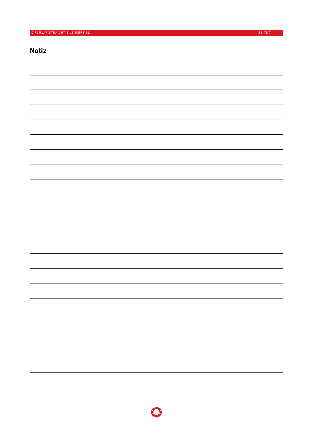## **Notiz**